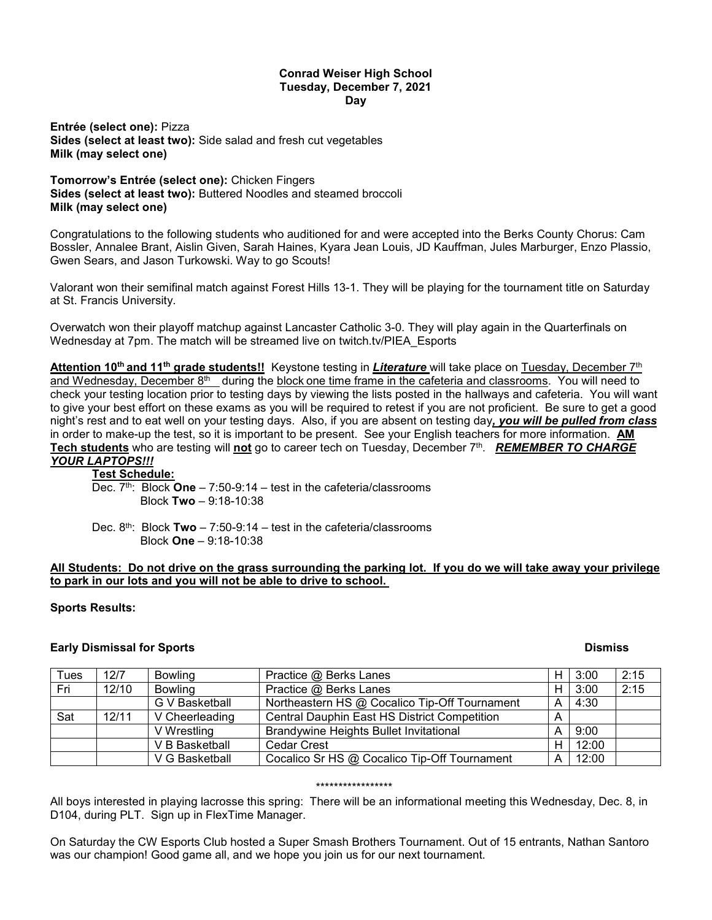#### **Conrad Weiser High School Tuesday, December 7, 2021 Day**

**Entrée (select one):** Pizza **Sides (select at least two):** Side salad and fresh cut vegetables **Milk (may select one)**

**Tomorrow's Entrée (select one):** Chicken Fingers **Sides (select at least two):** Buttered Noodles and steamed broccoli **Milk (may select one)**

Congratulations to the following students who auditioned for and were accepted into the Berks County Chorus: Cam Bossler, Annalee Brant, Aislin Given, Sarah Haines, Kyara Jean Louis, JD Kauffman, Jules Marburger, Enzo Plassio, Gwen Sears, and Jason Turkowski. Way to go Scouts!

Valorant won their semifinal match against Forest Hills 13-1. They will be playing for the tournament title on Saturday at St. Francis University.

Overwatch won their playoff matchup against Lancaster Catholic 3-0. They will play again in the Quarterfinals on Wednesday at 7pm. The match will be streamed live on twitch.tv/PIEA\_Esports

**Attention 10th and 11th grade students!!** Keystone testing in *Literature* will take place on Tuesday, December 7th and Wednesday, December 8<sup>th</sup> during the block one time frame in the cafeteria and classrooms. You will need to check your testing location prior to testing days by viewing the lists posted in the hallways and cafeteria. You will want to give your best effort on these exams as you will be required to retest if you are not proficient. Be sure to get a good night's rest and to eat well on your testing days. Also, if you are absent on testing day*, you will be pulled from class*  in order to make-up the test, so it is important to be present. See your English teachers for more information. **AM Tech students** who are testing will **not** go to career tech on Tuesday, December 7th. *REMEMBER TO CHARGE YOUR LAPTOPS!!!*

# **Test Schedule:**

Dec. 7th: Block **One** – 7:50-9:14 – test in the cafeteria/classrooms Block **Two** – 9:18-10:38

Dec. 8th: Block **Two** – 7:50-9:14 – test in the cafeteria/classrooms Block **One** – 9:18-10:38

## **All Students: Do not drive on the grass surrounding the parking lot. If you do we will take away your privilege to park in our lots and you will not be able to drive to school.**

## **Sports Results:**

## **Early Dismissal for Sports Contract Contract Contract Contract Contract Contract Contract Contract Contract Contract Contract Contract Contract Contract Contract Contract Contract Contract Contract Contract Contract Contr**

| Tues | 12/7  | <b>Bowling</b> | Practice @ Berks Lanes                        | Н | 3:00  | 2:15 |
|------|-------|----------------|-----------------------------------------------|---|-------|------|
| Fri  | 12/10 | <b>Bowling</b> | Practice @ Berks Lanes                        | н | 3:00  | 2:15 |
|      |       | G V Basketball | Northeastern HS @ Cocalico Tip-Off Tournament | А | 4:30  |      |
| Sat  | 12/11 | V Cheerleading | Central Dauphin East HS District Competition  | А |       |      |
|      |       | V Wrestling    | <b>Brandywine Heights Bullet Invitational</b> | А | 9:00  |      |
|      |       | V B Basketball | <b>Cedar Crest</b>                            | н | 12:00 |      |
|      |       | V G Basketball | Cocalico Sr HS @ Cocalico Tip-Off Tournament  | Α | 12:00 |      |

#### \*\*\*\*\*\*\*\*\*\*\*\*\*\*\*\*\*

All boys interested in playing lacrosse this spring: There will be an informational meeting this Wednesday, Dec. 8, in D104, during PLT. Sign up in FlexTime Manager.

On Saturday the CW Esports Club hosted a Super Smash Brothers Tournament. Out of 15 entrants, Nathan Santoro was our champion! Good game all, and we hope you join us for our next tournament.